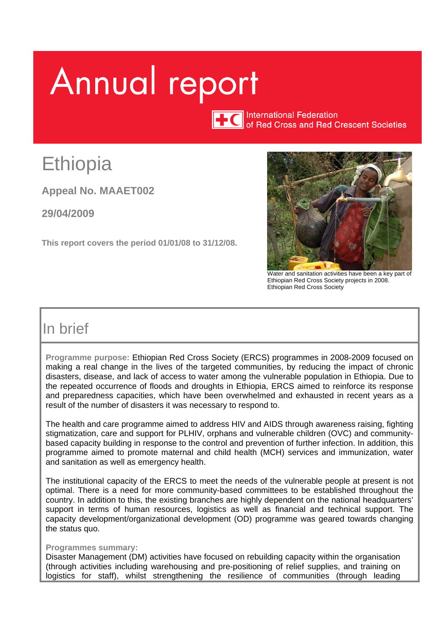# Annual report

**International Federation** of Red Cross and Red Crescent Societies

## Ethiopia

**Appeal No. MAAET002** 

**29/04/2009**

**This report covers the period 01/01/08 to 31/12/08.** 



Water and sanitation activities have been a key part of Ethiopian Red Cross Society projects in 2008. Ethiopian Red Cross Society

## In brief

**Programme purpose:** Ethiopian Red Cross Society (ERCS) programmes in 2008-2009 focused on making a real change in the lives of the targeted communities, by reducing the impact of chronic disasters, disease, and lack of access to water among the vulnerable population in Ethiopia. Due to the repeated occurrence of floods and droughts in Ethiopia, ERCS aimed to reinforce its response and preparedness capacities, which have been overwhelmed and exhausted in recent years as a result of the number of disasters it was necessary to respond to.

The health and care programme aimed to address HIV and AIDS through awareness raising, fighting stigmatization, care and support for PLHIV, orphans and vulnerable children (OVC) and communitybased capacity building in response to the control and prevention of further infection. In addition, this programme aimed to promote maternal and child health (MCH) services and immunization, water and sanitation as well as emergency health.

The institutional capacity of the ERCS to meet the needs of the vulnerable people at present is not optimal. There is a need for more community-based committees to be established throughout the country. In addition to this, the existing branches are highly dependent on the national headquarters' support in terms of human resources, logistics as well as financial and technical support. The capacity development/organizational development (OD) programme was geared towards changing the status quo.

#### **Programmes summary:**

Disaster Management (DM) activities have focused on rebuilding capacity within the organisation (through activities including warehousing and pre-positioning of relief supplies, and training on logistics for staff), whilst strengthening the resilience of communities (through leading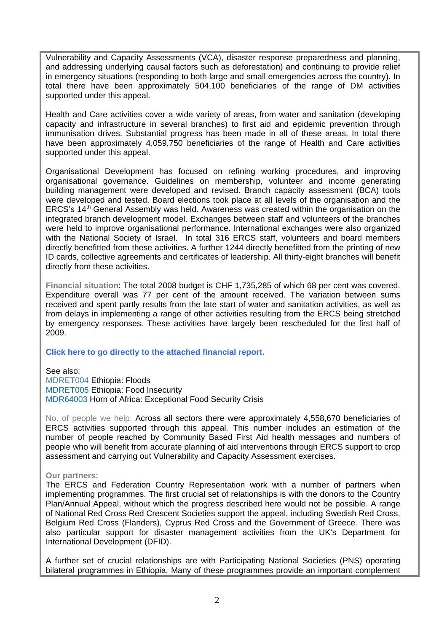Vulnerability and Capacity Assessments (VCA), disaster response preparedness and planning, and addressing underlying causal factors such as deforestation) and continuing to provide relief in emergency situations (responding to both large and small emergencies across the country). In total there have been approximately 504,100 beneficiaries of the range of DM activities supported under this appeal.

Health and Care activities cover a wide variety of areas, from water and sanitation (developing capacity and infrastructure in several branches) to first aid and epidemic prevention through immunisation drives. Substantial progress has been made in all of these areas. In total there have been approximately 4,059,750 beneficiaries of the range of Health and Care activities supported under this appeal.

Organisational Development has focused on refining working procedures, and improving organisational governance. Guidelines on membership, volunteer and income generating building management were developed and revised. Branch capacity assessment (BCA) tools were developed and tested. Board elections took place at all levels of the organisation and the ERCS's 14<sup>th</sup> General Assembly was held. Awareness was created within the organisation on the integrated branch development model. Exchanges between staff and volunteers of the branches were held to improve organisational performance. International exchanges were also organized with the National Society of Israel. In total 316 ERCS staff, volunteers and board members directly benefitted from these activities. A further 1244 directly benefitted from the printing of new ID cards, collective agreements and certificates of leadership. All thirty-eight branches will benefit directly from these activities.

**Financial situation**: The total 2008 budget is CHF 1,735,285 of which 68 per cent was covered. Expenditure overall was 77 per cent of the amount received. The variation between sums received and spent partly results from the late start of water and sanitation activities, as well as from delays in implementing a range of other activities resulting from the ERCS being stretched by emergency responses. These activities have largely been rescheduled for the first half of 2009.

#### **[Click here to go directly to the attached financial report.](http://www.ifrc.org/docs/appeals/annual08/MAAET00208arf.pdf)**

See also: [MDRET004 Ethiopia: Floods](http://www.ifrc.org/docs/appeals/07/MDRET004EA.pdf)  MDRET005 [Ethiopia: Food Insecurity](http://www.ifrc.org/docs/appeals/08/MDRET005.pdf)  [MDR64003 Horn of Africa: Exceptional Food Security Crisis](http://www.ifrc.org/docs/appeals/08/MDR64003EA1.pdf) 

No. of people we help: Across all sectors there were approximately 4,558,670 beneficiaries of ERCS activities supported through this appeal. This number includes an estimation of the number of people reached by Community Based First Aid health messages and numbers of people who will benefit from accurate planning of aid interventions through ERCS support to crop assessment and carrying out Vulnerability and Capacity Assessment exercises.

#### **Our partners:**

The ERCS and Federation Country Representation work with a number of partners when implementing programmes. The first crucial set of relationships is with the donors to the Country Plan/Annual Appeal, without which the progress described here would not be possible. A range of National Red Cross Red Crescent Societies support the appeal, including Swedish Red Cross, Belgium Red Cross (Flanders), Cyprus Red Cross and the Government of Greece. There was also particular support for disaster management activities from the UK's Department for International Development (DFID).

A further set of crucial relationships are with Participating National Societies (PNS) operating bilateral programmes in Ethiopia. Many of these programmes provide an important complement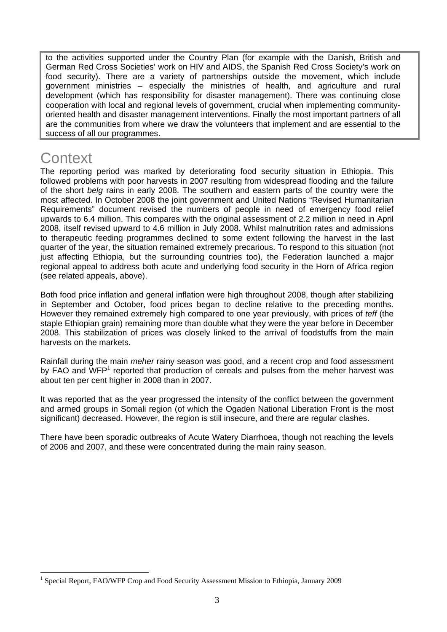to the activities supported under the Country Plan (for example with the Danish, British and German Red Cross Societies' work on HIV and AIDS, the Spanish Red Cross Society's work on food security). There are a variety of partnerships outside the movement, which include government ministries – especially the ministries of health, and agriculture and rural development (which has responsibility for disaster management). There was continuing close cooperation with local and regional levels of government, crucial when implementing communityoriented health and disaster management interventions. Finally the most important partners of all are the communities from where we draw the volunteers that implement and are essential to the success of all our programmes.

## **Context**

 $\overline{a}$ 

The reporting period was marked by deteriorating food security situation in Ethiopia. This followed problems with poor harvests in 2007 resulting from widespread flooding and the failure of the short *belg* rains in early 2008. The southern and eastern parts of the country were the most affected. In October 2008 the joint government and United Nations "Revised Humanitarian Requirements" document revised the numbers of people in need of emergency food relief upwards to 6.4 million. This compares with the original assessment of 2.2 million in need in April 2008, itself revised upward to 4.6 million in July 2008. Whilst malnutrition rates and admissions to therapeutic feeding programmes declined to some extent following the harvest in the last quarter of the year, the situation remained extremely precarious. To respond to this situation (not just affecting Ethiopia, but the surrounding countries too), the Federation launched a major regional appeal to address both acute and underlying food security in the Horn of Africa region (see related appeals, above).

Both food price inflation and general inflation were high throughout 2008, though after stabilizing in September and October, food prices began to decline relative to the preceding months. However they remained extremely high compared to one year previously, with prices of *teff* (the staple Ethiopian grain) remaining more than double what they were the year before in December 2008. This stabilization of prices was closely linked to the arrival of foodstuffs from the main harvests on the markets.

Rainfall during the main *meher* rainy season was good, and a recent crop and food assessment by FAO and WFP<sup>1</sup> reported that production of cereals and pulses from the meher harvest was about ten per cent higher in 2008 than in 2007.

It was reported that as the year progressed the intensity of the conflict between the government and armed groups in Somali region (of which the Ogaden National Liberation Front is the most significant) decreased. However, the region is still insecure, and there are regular clashes.

There have been sporadic outbreaks of Acute Watery Diarrhoea, though not reaching the levels of 2006 and 2007, and these were concentrated during the main rainy season.

<sup>&</sup>lt;sup>1</sup> Special Report, FAO/WFP Crop and Food Security Assessment Mission to Ethiopia, January 2009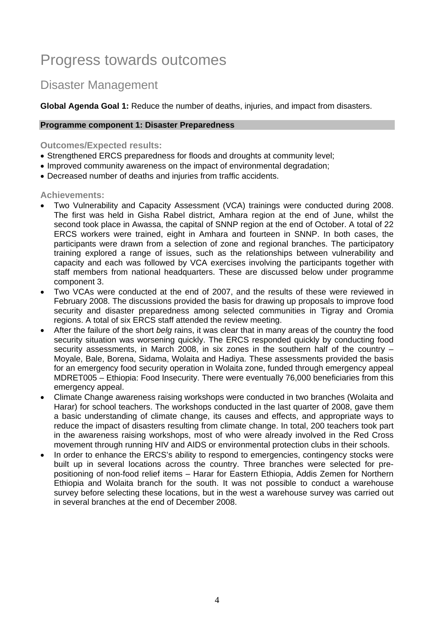## Progress towards outcomes

## Disaster Management

**Global Agenda Goal 1:** Reduce the number of deaths, injuries, and impact from disasters.

#### **Programme component 1: Disaster Preparedness**

#### **Outcomes/Expected results:**

- Strengthened ERCS preparedness for floods and droughts at community level;
- Improved community awareness on the impact of environmental degradation;
- Decreased number of deaths and injuries from traffic accidents.

#### **Achievements:**

- Two Vulnerability and Capacity Assessment (VCA) trainings were conducted during 2008. The first was held in Gisha Rabel district, Amhara region at the end of June, whilst the second took place in Awassa, the capital of SNNP region at the end of October. A total of 22 ERCS workers were trained, eight in Amhara and fourteen in SNNP. In both cases, the participants were drawn from a selection of zone and regional branches. The participatory training explored a range of issues, such as the relationships between vulnerability and capacity and each was followed by VCA exercises involving the participants together with staff members from national headquarters. These are discussed below under programme component 3.
- Two VCAs were conducted at the end of 2007, and the results of these were reviewed in February 2008. The discussions provided the basis for drawing up proposals to improve food security and disaster preparedness among selected communities in Tigray and Oromia regions. A total of six ERCS staff attended the review meeting.
- After the failure of the short *belg* rains, it was clear that in many areas of the country the food security situation was worsening quickly. The ERCS responded quickly by conducting food security assessments, in March 2008, in six zones in the southern half of the country – Moyale, Bale, Borena, Sidama, Wolaita and Hadiya. These assessments provided the basis for an emergency food security operation in Wolaita zone, funded through emergency appeal MDRET005 – Ethiopia: Food Insecurity. There were eventually 76,000 beneficiaries from this emergency appeal.
- Climate Change awareness raising workshops were conducted in two branches (Wolaita and Harar) for school teachers. The workshops conducted in the last quarter of 2008, gave them a basic understanding of climate change, its causes and effects, and appropriate ways to reduce the impact of disasters resulting from climate change. In total, 200 teachers took part in the awareness raising workshops, most of who were already involved in the Red Cross movement through running HIV and AIDS or environmental protection clubs in their schools.
- In order to enhance the ERCS's ability to respond to emergencies, contingency stocks were built up in several locations across the country. Three branches were selected for prepositioning of non-food relief items – Harar for Eastern Ethiopia, Addis Zemen for Northern Ethiopia and Wolaita branch for the south. It was not possible to conduct a warehouse survey before selecting these locations, but in the west a warehouse survey was carried out in several branches at the end of December 2008.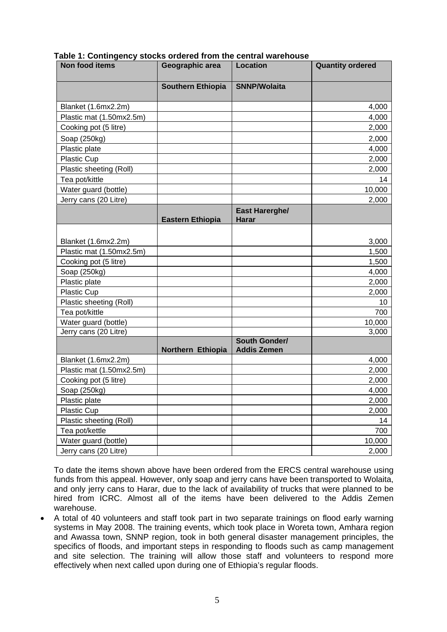| Non food items           | Geographic area          | <b>Location</b>                     | <b>Quantity ordered</b> |
|--------------------------|--------------------------|-------------------------------------|-------------------------|
|                          | <b>Southern Ethiopia</b> | <b>SNNP/Wolaita</b>                 |                         |
| Blanket (1.6mx2.2m)      |                          |                                     | 4,000                   |
| Plastic mat (1.50mx2.5m) |                          |                                     | 4,000                   |
| Cooking pot (5 litre)    |                          |                                     | 2,000                   |
| Soap (250kg)             |                          |                                     | 2,000                   |
| Plastic plate            |                          |                                     | 4,000                   |
| Plastic Cup              |                          |                                     | 2,000                   |
| Plastic sheeting (Roll)  |                          |                                     | 2,000                   |
| Tea pot/kittle           |                          |                                     | 14                      |
| Water guard (bottle)     |                          |                                     | 10,000                  |
| Jerry cans (20 Litre)    |                          |                                     | 2,000                   |
|                          | <b>Eastern Ethiopia</b>  | East Harerghe/<br><b>Harar</b>      |                         |
|                          |                          |                                     |                         |
| Blanket (1.6mx2.2m)      |                          |                                     | 3,000                   |
| Plastic mat (1.50mx2.5m) |                          |                                     | 1,500                   |
| Cooking pot (5 litre)    |                          |                                     | 1,500                   |
| Soap (250kg)             |                          |                                     | 4,000                   |
| Plastic plate            |                          |                                     | 2,000                   |
| <b>Plastic Cup</b>       |                          |                                     | 2,000                   |
| Plastic sheeting (Roll)  |                          |                                     | 10                      |
| Tea pot/kittle           |                          |                                     | 700                     |
| Water guard (bottle)     |                          |                                     | 10,000                  |
| Jerry cans (20 Litre)    |                          |                                     | 3,000                   |
|                          | Northern Ethiopia        | South Gonder/<br><b>Addis Zemen</b> |                         |
| Blanket (1.6mx2.2m)      |                          |                                     | 4,000                   |
| Plastic mat (1.50mx2.5m) |                          |                                     | 2,000                   |
| Cooking pot (5 litre)    |                          |                                     | 2,000                   |
| Soap (250kg)             |                          |                                     | 4,000                   |
| Plastic plate            |                          |                                     | 2,000                   |
| <b>Plastic Cup</b>       |                          |                                     | 2,000                   |
| Plastic sheeting (Roll)  |                          |                                     | 14                      |
| Tea pot/kettle           |                          |                                     | 700                     |
| Water guard (bottle)     |                          |                                     | 10,000                  |
| Jerry cans (20 Litre)    |                          |                                     | 2,000                   |

**Table 1: Contingency stocks ordered from the central warehouse** 

To date the items shown above have been ordered from the ERCS central warehouse using funds from this appeal. However, only soap and jerry cans have been transported to Wolaita, and only jerry cans to Harar, due to the lack of availability of trucks that were planned to be hired from ICRC. Almost all of the items have been delivered to the Addis Zemen warehouse.

• A total of 40 volunteers and staff took part in two separate trainings on flood early warning systems in May 2008. The training events, which took place in Woreta town, Amhara region and Awassa town, SNNP region, took in both general disaster management principles, the specifics of floods, and important steps in responding to floods such as camp management and site selection. The training will allow those staff and volunteers to respond more effectively when next called upon during one of Ethiopia's regular floods.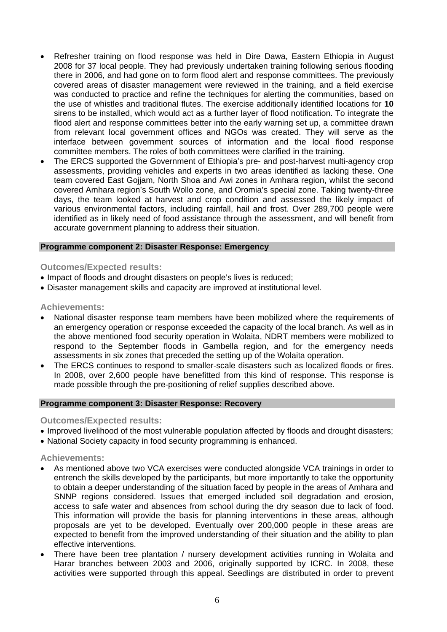- Refresher training on flood response was held in Dire Dawa, Eastern Ethiopia in August 2008 for 37 local people. They had previously undertaken training following serious flooding there in 2006, and had gone on to form flood alert and response committees. The previously covered areas of disaster management were reviewed in the training, and a field exercise was conducted to practice and refine the techniques for alerting the communities, based on the use of whistles and traditional flutes. The exercise additionally identified locations for **10** sirens to be installed, which would act as a further layer of flood notification. To integrate the flood alert and response committees better into the early warning set up, a committee drawn from relevant local government offices and NGOs was created. They will serve as the interface between government sources of information and the local flood response committee members. The roles of both committees were clarified in the training.
- The ERCS supported the Government of Ethiopia's pre- and post-harvest multi-agency crop assessments, providing vehicles and experts in two areas identified as lacking these. One team covered East Gojjam, North Shoa and Awi zones in Amhara region, whilst the second covered Amhara region's South Wollo zone, and Oromia's special zone. Taking twenty-three days, the team looked at harvest and crop condition and assessed the likely impact of various environmental factors, including rainfall, hail and frost. Over 289,700 people were identified as in likely need of food assistance through the assessment, and will benefit from accurate government planning to address their situation.

#### **Programme component 2: Disaster Response: Emergency**

#### **Outcomes/Expected results:**

- Impact of floods and drought disasters on people's lives is reduced:
- Disaster management skills and capacity are improved at institutional level.

#### **Achievements:**

- National disaster response team members have been mobilized where the requirements of an emergency operation or response exceeded the capacity of the local branch. As well as in the above mentioned food security operation in Wolaita, NDRT members were mobilized to respond to the September floods in Gambella region, and for the emergency needs assessments in six zones that preceded the setting up of the Wolaita operation.
- The ERCS continues to respond to smaller-scale disasters such as localized floods or fires. In 2008, over 2,600 people have benefitted from this kind of response. This response is made possible through the pre-positioning of relief supplies described above.

#### **Programme component 3: Disaster Response: Recovery**

#### **Outcomes/Expected results:**

- Improved livelihood of the most vulnerable population affected by floods and drought disasters;
- National Society capacity in food security programming is enhanced.

#### **Achievements:**

- As mentioned above two VCA exercises were conducted alongside VCA trainings in order to entrench the skills developed by the participants, but more importantly to take the opportunity to obtain a deeper understanding of the situation faced by people in the areas of Amhara and SNNP regions considered. Issues that emerged included soil degradation and erosion, access to safe water and absences from school during the dry season due to lack of food. This information will provide the basis for planning interventions in these areas, although proposals are yet to be developed. Eventually over 200,000 people in these areas are expected to benefit from the improved understanding of their situation and the ability to plan effective interventions.
- There have been tree plantation / nursery development activities running in Wolaita and Harar branches between 2003 and 2006, originally supported by ICRC. In 2008, these activities were supported through this appeal. Seedlings are distributed in order to prevent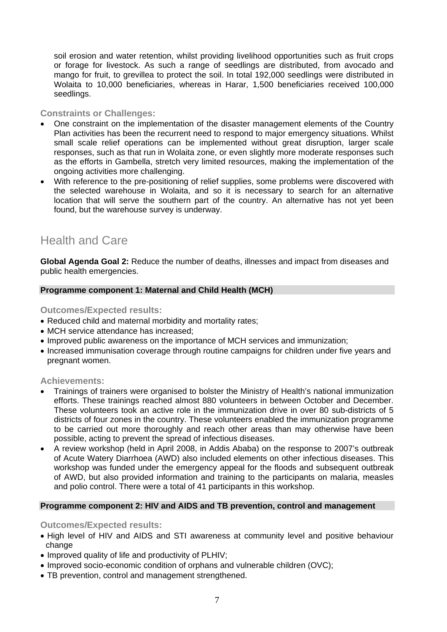soil erosion and water retention, whilst providing livelihood opportunities such as fruit crops or forage for livestock. As such a range of seedlings are distributed, from avocado and mango for fruit, to grevillea to protect the soil. In total 192,000 seedlings were distributed in Wolaita to 10,000 beneficiaries, whereas in Harar, 1,500 beneficiaries received 100,000 seedlings.

#### **Constraints or Challenges:**

- One constraint on the implementation of the disaster management elements of the Country Plan activities has been the recurrent need to respond to major emergency situations. Whilst small scale relief operations can be implemented without great disruption, larger scale responses, such as that run in Wolaita zone, or even slightly more moderate responses such as the efforts in Gambella, stretch very limited resources, making the implementation of the ongoing activities more challenging.
- With reference to the pre-positioning of relief supplies, some problems were discovered with the selected warehouse in Wolaita, and so it is necessary to search for an alternative location that will serve the southern part of the country. An alternative has not yet been found, but the warehouse survey is underway.

## Health and Care

**Global Agenda Goal 2:** Reduce the number of deaths, illnesses and impact from diseases and public health emergencies.

#### **Programme component 1: Maternal and Child Health (MCH)**

**Outcomes/Expected results:**

- Reduced child and maternal morbidity and mortality rates;
- MCH service attendance has increased;
- Improved public awareness on the importance of MCH services and immunization;
- Increased immunisation coverage through routine campaigns for children under five years and pregnant women.

#### **Achievements:**

- Trainings of trainers were organised to bolster the Ministry of Health's national immunization efforts. These trainings reached almost 880 volunteers in between October and December. These volunteers took an active role in the immunization drive in over 80 sub-districts of 5 districts of four zones in the country. These volunteers enabled the immunization programme to be carried out more thoroughly and reach other areas than may otherwise have been possible, acting to prevent the spread of infectious diseases.
- A review workshop (held in April 2008, in Addis Ababa) on the response to 2007's outbreak of Acute Watery Diarrhoea (AWD) also included elements on other infectious diseases. This workshop was funded under the emergency appeal for the floods and subsequent outbreak of AWD, but also provided information and training to the participants on malaria, measles and polio control. There were a total of 41 participants in this workshop.

#### **Programme component 2: HIV and AIDS and TB prevention, control and management**

**Outcomes/Expected results:**

- High level of HIV and AIDS and STI awareness at community level and positive behaviour change
- Improved quality of life and productivity of PLHIV;
- Improved socio-economic condition of orphans and vulnerable children (OVC);
- TB prevention, control and management strengthened.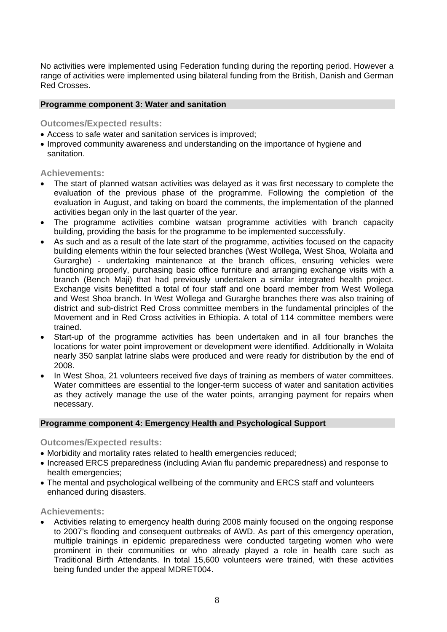No activities were implemented using Federation funding during the reporting period. However a range of activities were implemented using bilateral funding from the British, Danish and German Red Crosses.

#### **Programme component 3: Water and sanitation**

**Outcomes/Expected results:**

- Access to safe water and sanitation services is improved;
- Improved community awareness and understanding on the importance of hygiene and sanitation.

#### **Achievements:**

- The start of planned watsan activities was delayed as it was first necessary to complete the evaluation of the previous phase of the programme. Following the completion of the evaluation in August, and taking on board the comments, the implementation of the planned activities began only in the last quarter of the year.
- The programme activities combine watsan programme activities with branch capacity building, providing the basis for the programme to be implemented successfully.
- As such and as a result of the late start of the programme, activities focused on the capacity building elements within the four selected branches (West Wollega, West Shoa, Wolaita and Gurarghe) - undertaking maintenance at the branch offices, ensuring vehicles were functioning properly, purchasing basic office furniture and arranging exchange visits with a branch (Bench Maji) that had previously undertaken a similar integrated health project. Exchange visits benefitted a total of four staff and one board member from West Wollega and West Shoa branch. In West Wollega and Gurarghe branches there was also training of district and sub-district Red Cross committee members in the fundamental principles of the Movement and in Red Cross activities in Ethiopia. A total of 114 committee members were trained.
- Start-up of the programme activities has been undertaken and in all four branches the locations for water point improvement or development were identified. Additionally in Wolaita nearly 350 sanplat latrine slabs were produced and were ready for distribution by the end of 2008.
- In West Shoa, 21 volunteers received five days of training as members of water committees. Water committees are essential to the longer-term success of water and sanitation activities as they actively manage the use of the water points, arranging payment for repairs when necessary.

#### **Programme component 4: Emergency Health and Psychological Support**

**Outcomes/Expected results:**

- Morbidity and mortality rates related to health emergencies reduced;
- Increased ERCS preparedness (including Avian flu pandemic preparedness) and response to health emergencies:
- The mental and psychological wellbeing of the community and ERCS staff and volunteers enhanced during disasters.

**Achievements:** 

• Activities relating to emergency health during 2008 mainly focused on the ongoing response to 2007's flooding and consequent outbreaks of AWD. As part of this emergency operation, multiple trainings in epidemic preparedness were conducted targeting women who were prominent in their communities or who already played a role in health care such as Traditional Birth Attendants. In total 15,600 volunteers were trained, with these activities being funded under the appeal MDRET004.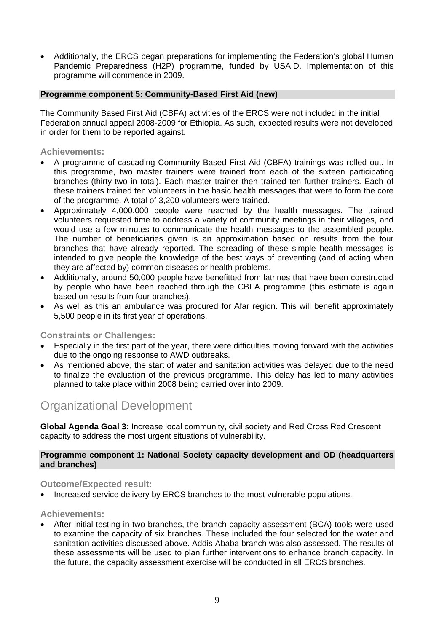• Additionally, the ERCS began preparations for implementing the Federation's global Human Pandemic Preparedness (H2P) programme, funded by USAID. Implementation of this programme will commence in 2009.

#### **Programme component 5: Community-Based First Aid (new)**

The Community Based First Aid (CBFA) activities of the ERCS were not included in the initial Federation annual appeal 2008-2009 for Ethiopia. As such, expected results were not developed in order for them to be reported against.

#### **Achievements:**

- A programme of cascading Community Based First Aid (CBFA) trainings was rolled out. In this programme, two master trainers were trained from each of the sixteen participating branches (thirty-two in total). Each master trainer then trained ten further trainers. Each of these trainers trained ten volunteers in the basic health messages that were to form the core of the programme. A total of 3,200 volunteers were trained.
- Approximately 4,000,000 people were reached by the health messages. The trained volunteers requested time to address a variety of community meetings in their villages, and would use a few minutes to communicate the health messages to the assembled people. The number of beneficiaries given is an approximation based on results from the four branches that have already reported. The spreading of these simple health messages is intended to give people the knowledge of the best ways of preventing (and of acting when they are affected by) common diseases or health problems.
- Additionally, around 50,000 people have benefitted from latrines that have been constructed by people who have been reached through the CBFA programme (this estimate is again based on results from four branches).
- As well as this an ambulance was procured for Afar region. This will benefit approximately 5,500 people in its first year of operations.

#### **Constraints or Challenges:**

- Especially in the first part of the year, there were difficulties moving forward with the activities due to the ongoing response to AWD outbreaks.
- As mentioned above, the start of water and sanitation activities was delayed due to the need to finalize the evaluation of the previous programme. This delay has led to many activities planned to take place within 2008 being carried over into 2009.

### Organizational Development

**Global Agenda Goal 3:** Increase local community, civil society and Red Cross Red Crescent capacity to address the most urgent situations of vulnerability.

#### **Programme component 1: National Society capacity development and OD (headquarters and branches)**

#### **Outcome/Expected result:**

• Increased service delivery by ERCS branches to the most vulnerable populations.

#### **Achievements:**

• After initial testing in two branches, the branch capacity assessment (BCA) tools were used to examine the capacity of six branches. These included the four selected for the water and sanitation activities discussed above. Addis Ababa branch was also assessed. The results of these assessments will be used to plan further interventions to enhance branch capacity. In the future, the capacity assessment exercise will be conducted in all ERCS branches.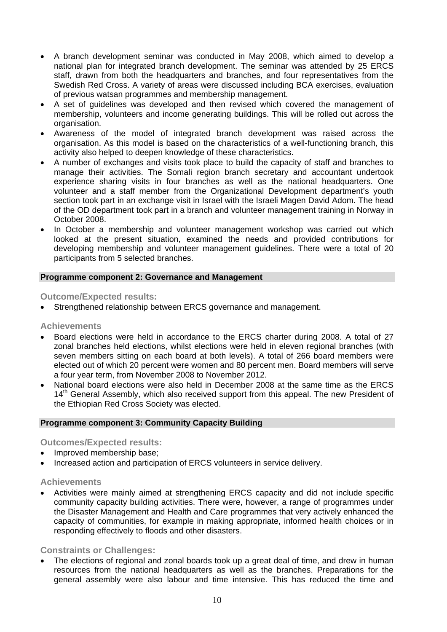- A branch development seminar was conducted in May 2008, which aimed to develop a national plan for integrated branch development. The seminar was attended by 25 ERCS staff, drawn from both the headquarters and branches, and four representatives from the Swedish Red Cross. A variety of areas were discussed including BCA exercises, evaluation of previous watsan programmes and membership management.
- A set of guidelines was developed and then revised which covered the management of membership, volunteers and income generating buildings. This will be rolled out across the organisation.
- Awareness of the model of integrated branch development was raised across the organisation. As this model is based on the characteristics of a well-functioning branch, this activity also helped to deepen knowledge of these characteristics.
- A number of exchanges and visits took place to build the capacity of staff and branches to manage their activities. The Somali region branch secretary and accountant undertook experience sharing visits in four branches as well as the national headquarters. One volunteer and a staff member from the Organizational Development department's youth section took part in an exchange visit in Israel with the Israeli Magen David Adom. The head of the OD department took part in a branch and volunteer management training in Norway in October 2008.
- In October a membership and volunteer management workshop was carried out which looked at the present situation, examined the needs and provided contributions for developing membership and volunteer management guidelines. There were a total of 20 participants from 5 selected branches.

#### **Programme component 2: Governance and Management**

**Outcome/Expected results:** 

Strengthened relationship between ERCS governance and management.

#### **Achievements**

- Board elections were held in accordance to the ERCS charter during 2008. A total of 27 zonal branches held elections, whilst elections were held in eleven regional branches (with seven members sitting on each board at both levels). A total of 266 board members were elected out of which 20 percent were women and 80 percent men. Board members will serve a four year term, from November 2008 to November 2012.
- National board elections were also held in December 2008 at the same time as the ERCS 14<sup>th</sup> General Assembly, which also received support from this appeal. The new President of the Ethiopian Red Cross Society was elected.

#### **Programme component 3: Community Capacity Building**

**Outcomes/Expected results:** 

- Improved membership base;
- Increased action and participation of ERCS volunteers in service delivery.

#### **Achievements**

• Activities were mainly aimed at strengthening ERCS capacity and did not include specific community capacity building activities. There were, however, a range of programmes under the Disaster Management and Health and Care programmes that very actively enhanced the capacity of communities, for example in making appropriate, informed health choices or in responding effectively to floods and other disasters.

#### **Constraints or Challenges:**

• The elections of regional and zonal boards took up a great deal of time, and drew in human resources from the national headquarters as well as the branches. Preparations for the general assembly were also labour and time intensive. This has reduced the time and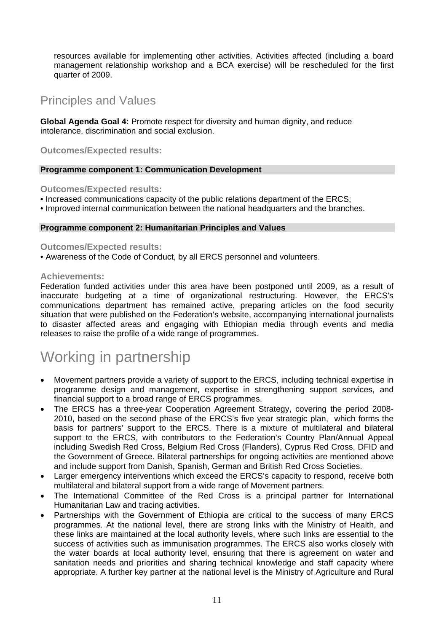resources available for implementing other activities. Activities affected (including a board management relationship workshop and a BCA exercise) will be rescheduled for the first quarter of 2009.

## Principles and Values

**Global Agenda Goal 4:** Promote respect for diversity and human dignity, and reduce intolerance, discrimination and social exclusion.

**Outcomes/Expected results:** 

#### **Programme component 1: Communication Development**

**Outcomes/Expected results:** 

- Increased communications capacity of the public relations department of the ERCS;
- Improved internal communication between the national headquarters and the branches.

#### **Programme component 2: Humanitarian Principles and Values**

#### **Outcomes/Expected results:**

• Awareness of the Code of Conduct, by all ERCS personnel and volunteers.

#### **Achievements:**

Federation funded activities under this area have been postponed until 2009, as a result of inaccurate budgeting at a time of organizational restructuring. However, the ERCS's communications department has remained active, preparing articles on the food security situation that were published on the Federation's website, accompanying international journalists to disaster affected areas and engaging with Ethiopian media through events and media releases to raise the profile of a wide range of programmes.

## Working in partnership

- Movement partners provide a variety of support to the ERCS, including technical expertise in programme design and management, expertise in strengthening support services, and financial support to a broad range of ERCS programmes.
- The ERCS has a three-year Cooperation Agreement Strategy, covering the period 2008- 2010, based on the second phase of the ERCS's five year strategic plan, which forms the basis for partners' support to the ERCS. There is a mixture of multilateral and bilateral support to the ERCS, with contributors to the Federation's Country Plan/Annual Appeal including Swedish Red Cross, Belgium Red Cross (Flanders), Cyprus Red Cross, DFID and the Government of Greece. Bilateral partnerships for ongoing activities are mentioned above and include support from Danish, Spanish, German and British Red Cross Societies.
- Larger emergency interventions which exceed the ERCS's capacity to respond, receive both multilateral and bilateral support from a wide range of Movement partners.
- The International Committee of the Red Cross is a principal partner for International Humanitarian Law and tracing activities.
- Partnerships with the Government of Ethiopia are critical to the success of many ERCS programmes. At the national level, there are strong links with the Ministry of Health, and these links are maintained at the local authority levels, where such links are essential to the success of activities such as immunisation programmes. The ERCS also works closely with the water boards at local authority level, ensuring that there is agreement on water and sanitation needs and priorities and sharing technical knowledge and staff capacity where appropriate. A further key partner at the national level is the Ministry of Agriculture and Rural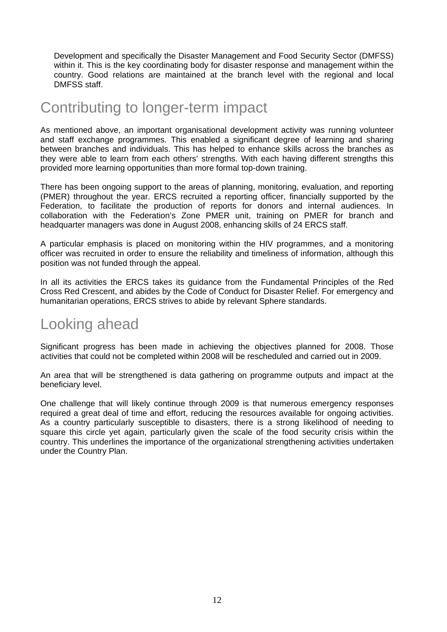Development and specifically the Disaster Management and Food Security Sector (DMFSS) within it. This is the key coordinating body for disaster response and management within the country. Good relations are maintained at the branch level with the regional and local DMFSS staff.

## Contributing to longer-term impact

As mentioned above, an important organisational development activity was running volunteer and staff exchange programmes. This enabled a significant degree of learning and sharing between branches and individuals. This has helped to enhance skills across the branches as they were able to learn from each others' strengths. With each having different strengths this provided more learning opportunities than more formal top-down training.

There has been ongoing support to the areas of planning, monitoring, evaluation, and reporting (PMER) throughout the year. ERCS recruited a reporting officer, financially supported by the Federation, to facilitate the production of reports for donors and internal audiences. In collaboration with the Federation's Zone PMER unit, training on PMER for branch and headquarter managers was done in August 2008, enhancing skills of 24 ERCS staff.

A particular emphasis is placed on monitoring within the HIV programmes, and a monitoring officer was recruited in order to ensure the reliability and timeliness of information, although this position was not funded through the appeal.

In all its activities the ERCS takes its guidance from the Fundamental Principles of the Red Cross Red Crescent, and abides by the Code of Conduct for Disaster Relief. For emergency and humanitarian operations, ERCS strives to abide by relevant Sphere standards.

## Looking ahead

Significant progress has been made in achieving the objectives planned for 2008. Those activities that could not be completed within 2008 will be rescheduled and carried out in 2009.

An area that will be strengthened is data gathering on programme outputs and impact at the beneficiary level.

One challenge that will likely continue through 2009 is that numerous emergency responses required a great deal of time and effort, reducing the resources available for ongoing activities. As a country particularly susceptible to disasters, there is a strong likelihood of needing to square this circle yet again, particularly given the scale of the food security crisis within the country. This underlines the importance of the organizational strengthening activities undertaken under the Country Plan.